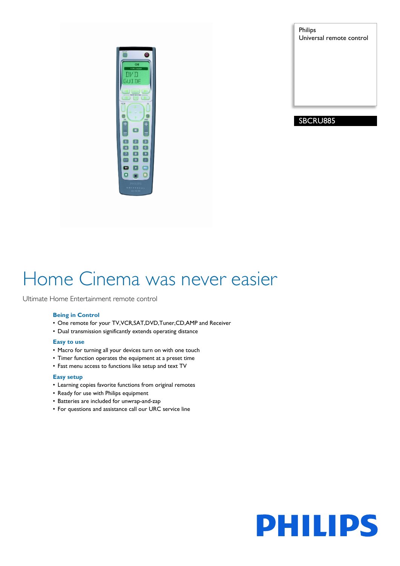

Philips Universal remote control

# SBCRU885

# Home Cinema was never easier

Ultimate Home Entertainment remote control

# **Being in Control**

- One remote for your TV,VCR,SAT,DVD,Tuner,CD,AMP and Receiver
- Dual transmission significantly extends operating distance

# **Easy to use**

- Macro for turning all your devices turn on with one touch
- Timer function operates the equipment at a preset time
- Fast menu access to functions like setup and text TV

# **Easy setup**

- Learning copies favorite functions from original remotes
- Ready for use with Philips equipment
- Batteries are included for unwrap-and-zap
- For questions and assistance call our URC service line